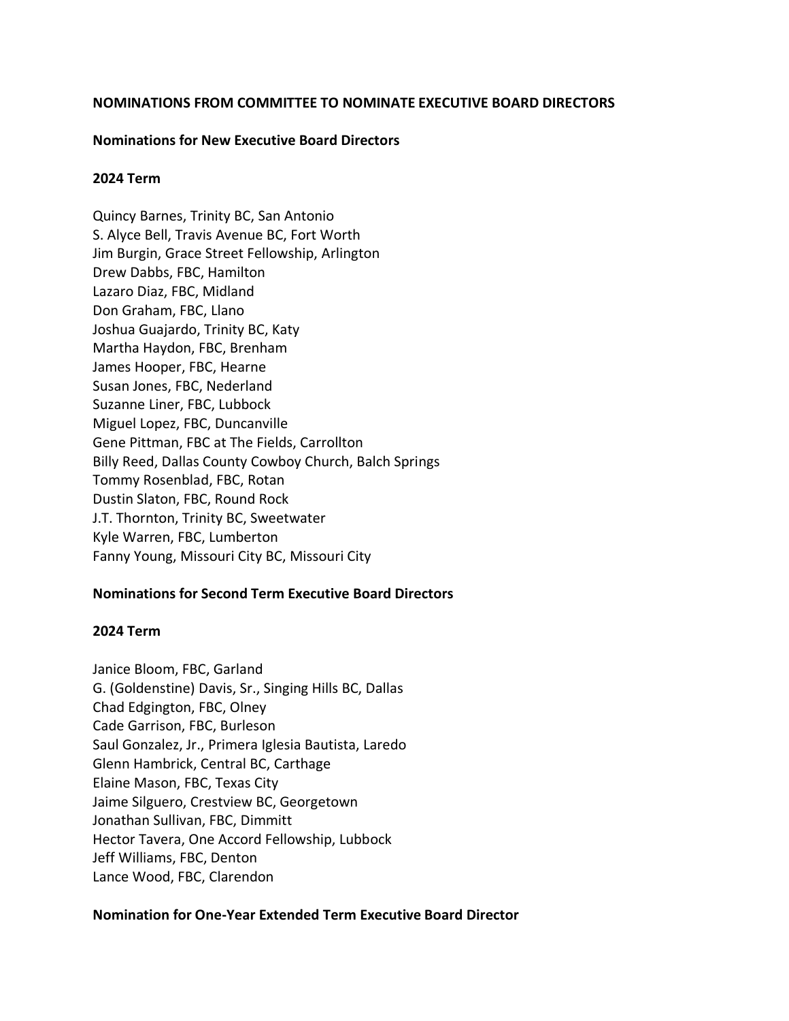## **NOMINATIONS FROM COMMITTEE TO NOMINATE EXECUTIVE BOARD DIRECTORS**

### **Nominations for New Executive Board Directors**

### **2024 Term**

Quincy Barnes, Trinity BC, San Antonio S. Alyce Bell, Travis Avenue BC, Fort Worth Jim Burgin, Grace Street Fellowship, Arlington Drew Dabbs, FBC, Hamilton Lazaro Diaz, FBC, Midland Don Graham, FBC, Llano Joshua Guajardo, Trinity BC, Katy Martha Haydon, FBC, Brenham James Hooper, FBC, Hearne Susan Jones, FBC, Nederland Suzanne Liner, FBC, Lubbock Miguel Lopez, FBC, Duncanville Gene Pittman, FBC at The Fields, Carrollton Billy Reed, Dallas County Cowboy Church, Balch Springs Tommy Rosenblad, FBC, Rotan Dustin Slaton, FBC, Round Rock J.T. Thornton, Trinity BC, Sweetwater Kyle Warren, FBC, Lumberton Fanny Young, Missouri City BC, Missouri City

## **Nominations for Second Term Executive Board Directors**

#### **2024 Term**

Janice Bloom, FBC, Garland G. (Goldenstine) Davis, Sr., Singing Hills BC, Dallas Chad Edgington, FBC, Olney Cade Garrison, FBC, Burleson Saul Gonzalez, Jr., Primera Iglesia Bautista, Laredo Glenn Hambrick, Central BC, Carthage Elaine Mason, FBC, Texas City Jaime Silguero, Crestview BC, Georgetown Jonathan Sullivan, FBC, Dimmitt Hector Tavera, One Accord Fellowship, Lubbock Jeff Williams, FBC, Denton Lance Wood, FBC, Clarendon

#### **Nomination for One-Year Extended Term Executive Board Director**